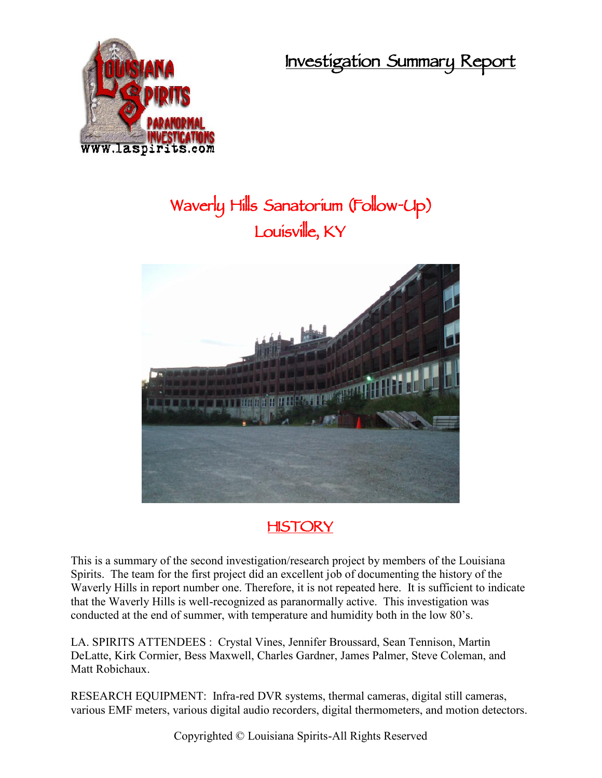**Investigation Summary Report**



# **Waverly Hills Sanatorium (Follow-Up) Louisville, KY**



# **HISTORY**

This is a summary of the second investigation/research project by members of the Louisiana Spirits. The team for the first project did an excellent job of documenting the history of the Waverly Hills in report number one. Therefore, it is not repeated here. It is sufficient to indicate that the Waverly Hills is well-recognized as paranormally active. This investigation was conducted at the end of summer, with temperature and humidity both in the low 80's.

LA. SPIRITS ATTENDEES : Crystal Vines, Jennifer Broussard, Sean Tennison, Martin DeLatte, Kirk Cormier, Bess Maxwell, Charles Gardner, James Palmer, Steve Coleman, and Matt Robichaux.

RESEARCH EQUIPMENT: Infra-red DVR systems, thermal cameras, digital still cameras, various EMF meters, various digital audio recorders, digital thermometers, and motion detectors.

Copyrighted © Louisiana Spirits-All Rights Reserved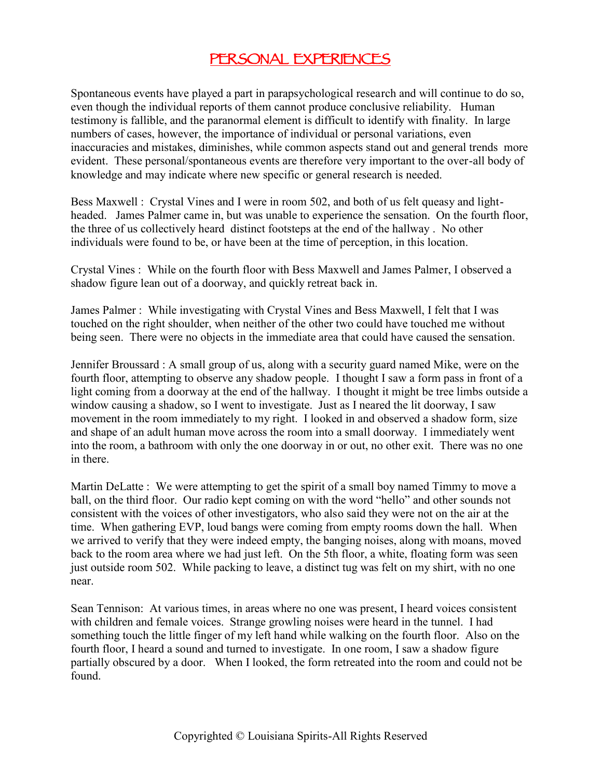#### **PERSONAL EXPERIENCES**

Spontaneous events have played a part in parapsychological research and will continue to do so, even though the individual reports of them cannot produce conclusive reliability. Human testimony is fallible, and the paranormal element is difficult to identify with finality. In large numbers of cases, however, the importance of individual or personal variations, even inaccuracies and mistakes, diminishes, while common aspects stand out and general trends more evident. These personal/spontaneous events are therefore very important to the over-all body of knowledge and may indicate where new specific or general research is needed.

Bess Maxwell : Crystal Vines and I were in room 502, and both of us felt queasy and light headed. James Palmer came in, but was unable to experience the sensation. On the fourth floor, the three of us collectively heard distinct footsteps at the end of the hallway . No other individuals were found to be, or have been at the time of perception, in this location.

Crystal Vines : While on the fourth floor with Bess Maxwell and James Palmer, I observed a shadow figure lean out of a doorway, and quickly retreat back in.

James Palmer : While investigating with Crystal Vines and Bess Maxwell, I felt that I was touched on the right shoulder, when neither of the other two could have touched me without being seen. There were no objects in the immediate area that could have caused the sensation.

Jennifer Broussard : A small group of us, along with a security guard named Mike, were on the fourth floor, attempting to observe any shadow people. I thought I saw a form pass in front of a light coming from a doorway at the end of the hallway. I thought it might be tree limbs outside a window causing a shadow, so I went to investigate. Just as I neared the lit doorway, I saw movement in the room immediately to my right. I looked in and observed a shadow form, size and shape of an adult human move across the room into a small doorway. I immediately went into the room, a bathroom with only the one doorway in or out, no other exit. There was no one in there.

Martin DeLatte : We were attempting to get the spirit of a small boy named Timmy to move a ball, on the third floor. Our radio kept coming on with the word "hello" and other sounds not consistent with the voices of other investigators, who also said they were not on the air at the time. When gathering EVP, loud bangs were coming from empty rooms down the hall. When we arrived to verify that they were indeed empty, the banging noises, along with moans, moved back to the room area where we had just left. On the 5th floor, a white, floating form was seen just outside room 502. While packing to leave, a distinct tug was felt on my shirt, with no one near.

Sean Tennison: At various times, in areas where no one was present, I heard voices consistent with children and female voices. Strange growling noises were heard in the tunnel. I had something touch the little finger of my left hand while walking on the fourth floor. Also on the fourth floor, I heard a sound and turned to investigate. In one room, I saw a shadow figure partially obscured by a door. When I looked, the form retreated into the room and could not be found.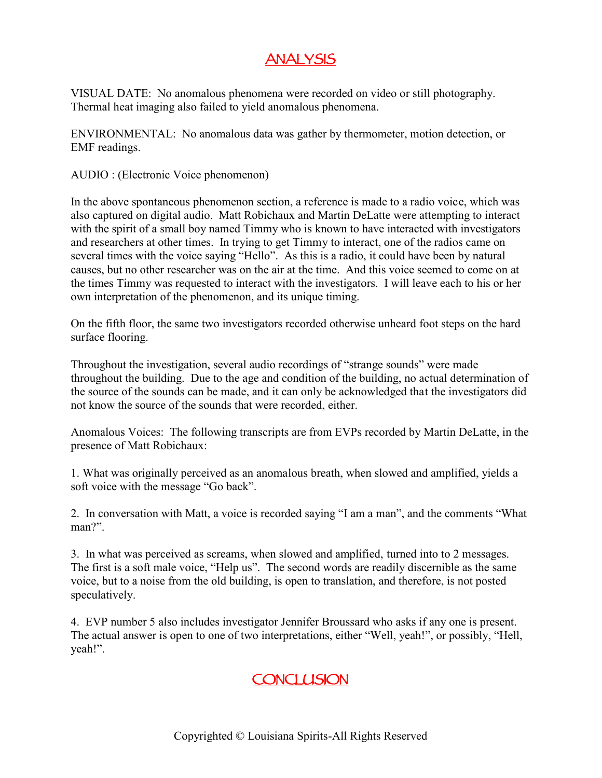# **ANALYSIS**

VISUAL DATE: No anomalous phenomena were recorded on video or still photography. Thermal heat imaging also failed to yield anomalous phenomena.

ENVIRONMENTAL: No anomalous data was gather by thermometer, motion detection, or EMF readings.

AUDIO : (Electronic Voice phenomenon)

In the above spontaneous phenomenon section, a reference is made to a radio voice, which was also captured on digital audio. Matt Robichaux and Martin DeLatte were attempting to interact with the spirit of a small boy named Timmy who is known to have interacted with investigators and researchers at other times. In trying to get Timmy to interact, one of the radios came on several times with the voice saying "Hello". As this is a radio, it could have been by natural causes, but no other researcher was on the air at the time. And this voice seemed to come on at the times Timmy was requested to interact with the investigators. I will leave each to his or her own interpretation of the phenomenon, and its unique timing.

On the fifth floor, the same two investigators recorded otherwise unheard foot steps on the hard surface flooring.

Throughout the investigation, several audio recordings of "strange sounds" were made throughout the building. Due to the age and condition of the building, no actual determination of the source of the sounds can be made, and it can only be acknowledged that the investigators did not know the source of the sounds that were recorded, either.

Anomalous Voices: The following transcripts are from EVPs recorded by Martin DeLatte, in the presence of Matt Robichaux:

1. What was originally perceived as an anomalous breath, when slowed and amplified, yields a soft voice with the message "Go back".

2. In conversation with Matt, a voice is recorded saying "I am a man", and the comments "What man?".

3. In what was perceived as screams, when slowed and amplified, turned into to 2 messages. The first is a soft male voice, "Help us". The second words are readily discernible as the same voice, but to a noise from the old building, is open to translation, and therefore, is not posted speculatively.

4. EVP number 5 also includes investigator Jennifer Broussard who asks if any one is present. The actual answer is open to one of two interpretations, either "Well, yeah!", or possibly, "Hell, yeah!".

# **CONCLUSION**